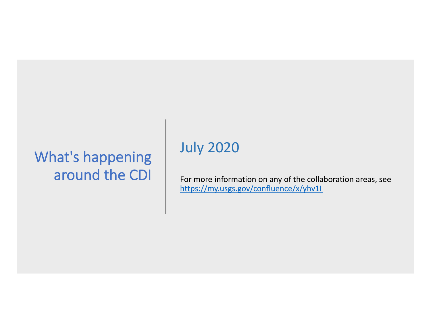# What's happening around the CDI

# July 2020

For more information on any of the collaboration areas, see [https://my.usgs.gov/confluence/x/yhv1](https://my.usgs.gov/confluence/x/yhv1I)I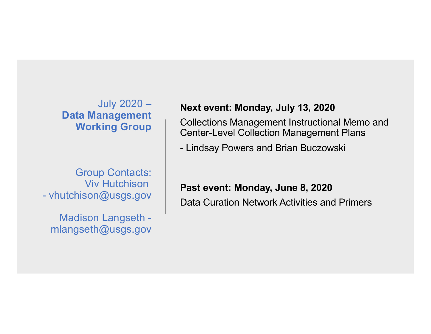July 2020 – **Data Management Working Group**

Group Contacts: Viv Hutchison - vhutchison@usgs.gov

Madison Langseth mlangseth@usgs.gov

## **Next event: Monday, July 13, 2020**

Collections Management Instructional Memo and Center-Level Collection Management Plans

- Lindsay Powers and Brian Buczowski

### **Past event: Monday, June 8, 2020**

Data Curation Network Activities and Primers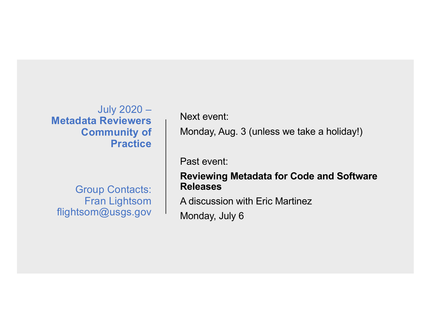## July 2020 – **Metadata Reviewers Community of Practice**

Group Contacts: Fran Lightsom flightsom@usgs.gov

Next event:

Monday, Aug. 3 (unless we take a holiday!)

Past event:

## **Reviewing Metadata for Code and Software Releases**

A discussion with Eric Martinez

Monday, July 6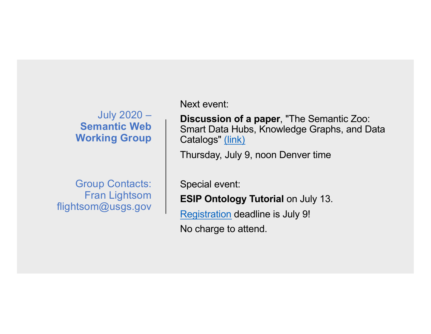# July 2020 – **Semantic Web Working Group**

Group Contacts: Fran Lightsom flightsom@usgs.gov

Next event:

**Discussion of a paper**, "The Semantic Zoo: Smart Data Hubs, Knowledge Graphs, and Data Catalogs[" \(link](https://www.forbes.com/sites/cognitiveworld/2019/01/18/the-semantic-zoo-smart-data-hubs-knowledge-bases-and-data-catalogs/))

Thursday, July 9, noon Denver time

Special event:

**ESIP Ontology Tutorial** on July 13.

[Registratio](http://wiki.esipfed.org/index.php/ESIP_2020_Summer_Meeting_Ontology_Tutorial)n deadline is July 9!

No charge to attend.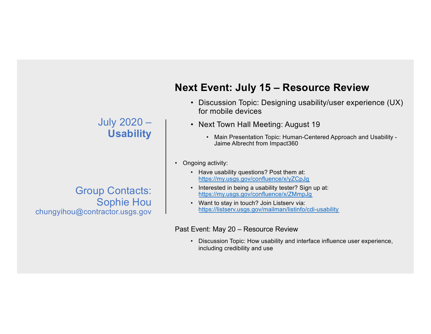## July 2020 – **Usability**

## Group Contacts: Sophie Hou chungyihou@contractor.usgs.gov

# **Next Event: July 15 – Resource Review**

- Discussion Topic: Designing usability/user experience (UX) for mobile devices
- Next Town Hall Meeting: August 19
	- Main Presentation Topic: Human-Centered Approach and Usability Jaime Albrecht from Impact360
- Ongoing activity:
	- Have usability questions? Post them at: [https://my.usgs.gov/confluence/x/yZCpJ](https://my.usgs.gov/confluence/x/yZCpJg)g
	- Interested in being a usability tester? Sign up at: [https://my.usgs.gov/confluence/x/ZMmpJ](https://my.usgs.gov/confluence/x/ZMmpJg)g
	- Want to stay in touch? Join Listserv via: [https://listserv.usgs.gov/mailman/listinfo/cdi-usabili](https://listserv.usgs.gov/mailman/listinfo/cdi-usability)ty

#### Past Event: May 20 – Resource Review

• Discussion Topic: How usability and interface influence user experience, including credibility and use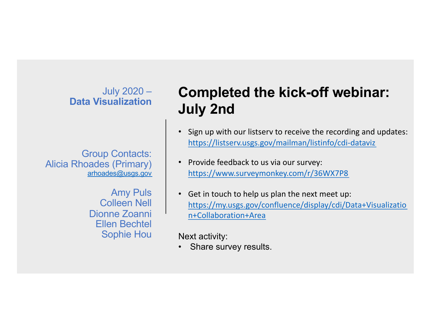## July 2020 – **Data Visualization**

Group Contacts: Alicia Rhoades (Primary) [arhoades@usgs.go](http://usgs.gov)v

> Amy Puls Colleen Nell Dionne Zoanni Ellen Bechtel Sophie Hou

# **Completed the kick-off webinar: July 2nd**

- Sign up with our listserv to receive the recording and updates: [https://listserv.usgs.gov/mailman/listinfo/cdi-datavi](https://listserv.usgs.gov/mailman/listinfo/cdi-dataviz)z
- Provide feedback to us via our survey: [https://www.surveymonkey.com/r/36WX7P](https://www.surveymonkey.com/r/36WX7P8)8
- Get in touch to help us plan the next meet up: [https://my.usgs.gov/confluence/display/cdi/Data+Visualizati](https://my.usgs.gov/confluence/display/cdi/Data+Visualization+Collaboration+Area)o n+Collaboration+Area

Next activity:

Share survey results.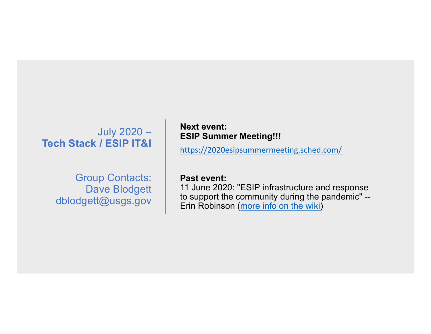## July 2020 – **Tech Stack / ESIP IT&I**

Group Contacts: Dave Blodgett dblodgett@usgs.gov

#### **Next event: ESIP Summer Meeting!!!**

[https://2020esipsummermeeting.sched.com](https://2020esipsummermeeting.sched.com/)/

#### **Past event:**

11 June 2020: "ESIP infrastructure and response to support the community during the pandemic" -- Erin Robinso[n \(more info on the wik](http://wiki.esipfed.org/index.php/Interoperability_and_Technology/Tech_Dive_Webinar_Series)i)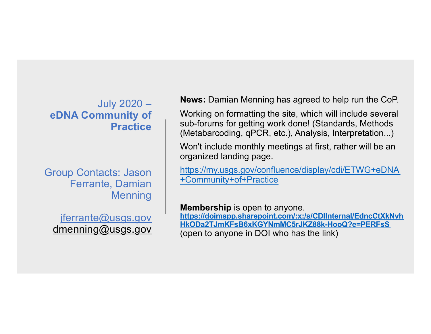## July 2020 – **eDNA Community of Practice**

Group Contacts: Jason Ferrante, Damian **Menning** 

[jferrante@usgs.go](http://usgs.gov)v [dmenning@usgs.gov](http://usgs.gov)

**News:** Damian Menning has agreed to help run the CoP.

Working on formatting the site, which will include several sub-forums for getting work done! (Standards, Methods (Metabarcoding, qPCR, etc.), Analysis, Interpretation...)

Won't include monthly meetings at first, rather will be an organized landing page.

[https://my.usgs.gov/confluence/display/cdi/ETWG+eDNA](https://my.usgs.gov/confluence/display/cdi/ETWG+eDNA+Community+of+Practice) +Community+of+Practice

**Membership** is open to anyone.

**https://doimspp.sharepoint.com/:x:/s/CDIInternal/EdncCtXkNvh [HkODa2TJmKFsB6xKGYNmMC5rJKZ88k-HooQ?e=PERFsS](https://doimspp.sharepoint.com/:x:/s/CDIInternal/EdncCtXkNvhHkODa2TJmKFsB6xKGYNmMC5rJKZ88k-HooQ%3Fe=PERFsS)** (open to anyone in DOI who has the link)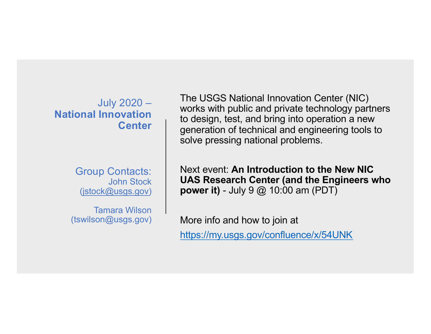July 2020 – **National Innovation Center**

> Group Contacts: John Stock [\(jstock@usgs.go](http://usgs.gov)v)

Tamara Wilson (tswilson@usgs.gov) The USGS National Innovation Center (NIC) works with public and private technology partners to design, test, and bring into operation a new generation of technical and engineering tools to solve pressing national problems.

Next event: **An Introduction to the New NIC UAS Research Center (and the Engineers who power it)** - July 9 @ 10:00 am (PDT)

More info and how to join at

<https://my.usgs.gov/confluence/x/54UNK>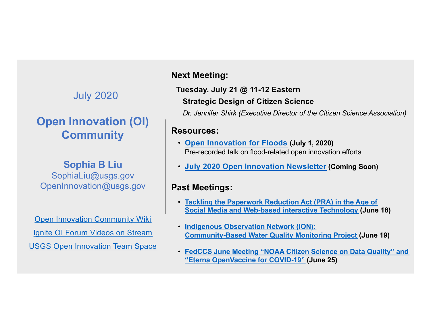# July 2020

# **Open Innovation (OI) Community**

## **Sophia B Liu**

SophiaLiu@usgs.gov OpenInnovation@usgs.gov

[Open Innovation Community Wik](https://my.usgs.gov/confluence/display/cdi/Open+Innovation+Community)i [Ignite OI Forum Videos on Stream](https://web.microsoftstream.com/channel/2161e728-7ce1-47bf-887e-2742581603c8) [USGS Open Innovation Team Spac](https://teams.microsoft.com/l/team/19%253aee13de3f499f409f88d75a4652ec366c%2540thread.skype/conversations%3FgroupId=4e99c117-dca7-44e4-9ca7-716c80b49ca3&tenantId=0693b5ba-4b18-4d7b-9341-f32f400a5494)e

## **Next Meeting:**

## **Tuesday, July 21 @ 11-12 Eastern Strategic Design of Citizen Science**

*Dr. Jennifer Shirk (Executive Director of the Citizen Science Association)*

### **Resources:**

- **[Open Innovation for Flood](https://my.usgs.gov/confluence/display/cdi/July+1%252C+2020)s (July 1, 2020)** Pre-recorded talk on flood-related open innovation efforts
- **[July 2020 Open Innovation Newslette](https://my.usgs.gov/confluence/display/cdi/July+2020+OI+Newsletter)r (Coming Soon)**

### **Past Meetings:**

- **[Tackling the Paperwork Reduction Act \(PRA\) in the Age o](https://my.usgs.gov/confluence/display/cdi/June+18%252C+2020)f Social Media and Web-based interactive Technology (June 18)**
- **Indigenous Observation Network (ION): [Community-Based Water Quality Monitoring Projec](https://my.usgs.gov/confluence/display/cdi/June+19%252C+2020)t (June 19)**
- **[FedCCS June Meeting "NOAA Citizen Science on Data Quality" an](https://my.usgs.gov/confluence/display/cdi/June+25%252C+2020)d "Eterna OpenVaccine for COVID-19" (June 25)**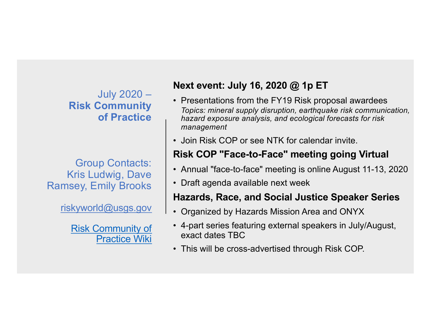July 2020 – **Risk Community of Practice**

Group Contacts: Kris Ludwig, Dave Ramsey, Emily Brooks

[riskyworld@usgs.go](http://usgs.gov)v

[Risk Community o](https://my.usgs.gov/confluence/x/DoIcJQ)f Practice Wiki

# **Next event: July 16, 2020 @ 1p ET**

- Presentations from the FY19 Risk proposal awardees *Topics: mineral supply disruption, earthquake risk communication, hazard exposure analysis, and ecological forecasts for risk management*
- Join Risk COP or see NTK for calendar invite.

# **Risk COP "Face-to-Face" meeting going Virtual**

- Annual "face-to-face" meeting is online August 11-13, 2020
- Draft agenda available next week

## **Hazards, Race, and Social Justice Speaker Series**

- Organized by Hazards Mission Area and ONYX
- 4-part series featuring external speakers in July/August, exact dates TBC
- This will be cross-advertised through Risk COP.